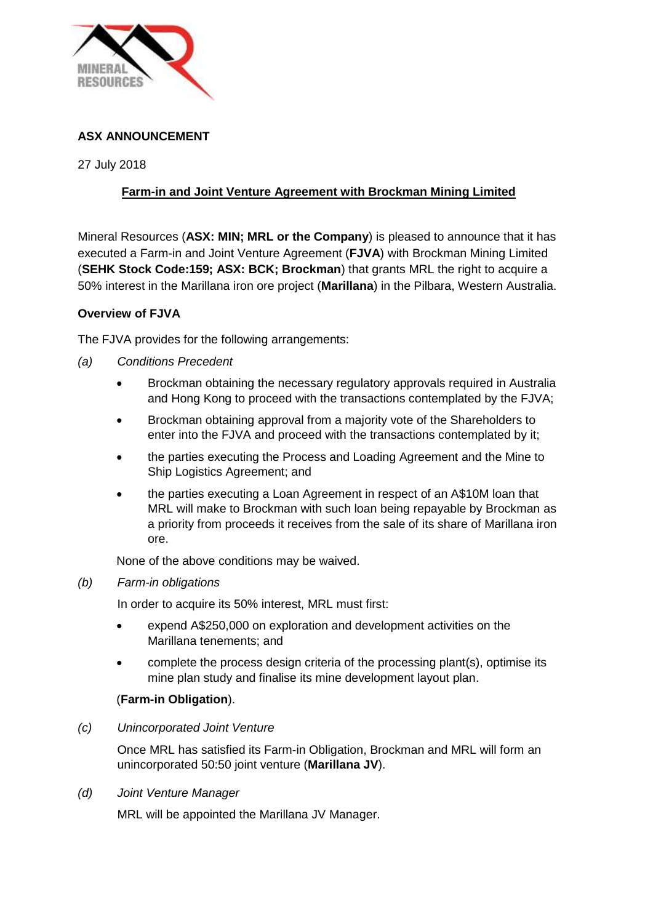

# **ASX ANNOUNCEMENT**

27 July 2018

## **Farm-in and Joint Venture Agreement with Brockman Mining Limited**

Mineral Resources (**ASX: MIN; MRL or the Company**) is pleased to announce that it has executed a Farm-in and Joint Venture Agreement (**FJVA**) with Brockman Mining Limited (**SEHK Stock Code:159; ASX: BCK; Brockman**) that grants MRL the right to acquire a 50% interest in the Marillana iron ore project (**Marillana**) in the Pilbara, Western Australia.

## **Overview of FJVA**

The FJVA provides for the following arrangements:

- *(a) Conditions Precedent*
	- Brockman obtaining the necessary regulatory approvals required in Australia and Hong Kong to proceed with the transactions contemplated by the FJVA;
	- Brockman obtaining approval from a majority vote of the Shareholders to enter into the FJVA and proceed with the transactions contemplated by it;
	- the parties executing the Process and Loading Agreement and the Mine to Ship Logistics Agreement; and
	- the parties executing a Loan Agreement in respect of an A\$10M loan that MRL will make to Brockman with such loan being repayable by Brockman as a priority from proceeds it receives from the sale of its share of Marillana iron ore.

None of the above conditions may be waived.

### *(b) Farm-in obligations*

In order to acquire its 50% interest, MRL must first:

- expend A\$250,000 on exploration and development activities on the Marillana tenements; and
- complete the process design criteria of the processing plant(s), optimise its mine plan study and finalise its mine development layout plan.

## (**Farm-in Obligation**).

### *(c) Unincorporated Joint Venture*

Once MRL has satisfied its Farm-in Obligation, Brockman and MRL will form an unincorporated 50:50 joint venture (**Marillana JV**).

### *(d) Joint Venture Manager*

MRL will be appointed the Marillana JV Manager.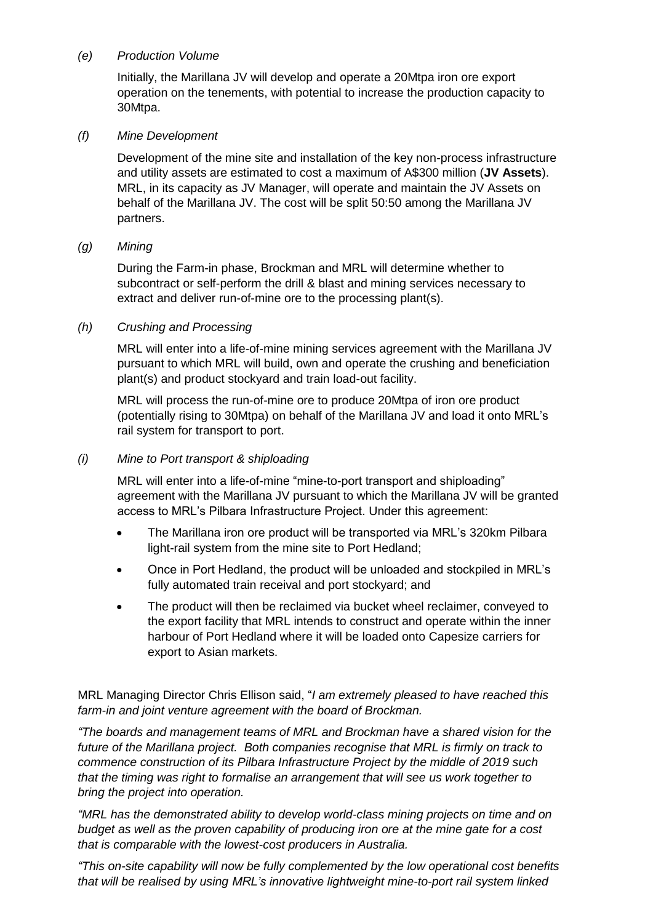## *(e) Production Volume*

Initially, the Marillana JV will develop and operate a 20Mtpa iron ore export operation on the tenements, with potential to increase the production capacity to 30Mtpa.

### *(f) Mine Development*

Development of the mine site and installation of the key non-process infrastructure and utility assets are estimated to cost a maximum of A\$300 million (**JV Assets**). MRL, in its capacity as JV Manager, will operate and maintain the JV Assets on behalf of the Marillana JV. The cost will be split 50:50 among the Marillana JV partners.

## *(g) Mining*

During the Farm-in phase, Brockman and MRL will determine whether to subcontract or self-perform the drill & blast and mining services necessary to extract and deliver run-of-mine ore to the processing plant(s).

## *(h) Crushing and Processing*

MRL will enter into a life-of-mine mining services agreement with the Marillana JV pursuant to which MRL will build, own and operate the crushing and beneficiation plant(s) and product stockyard and train load-out facility.

MRL will process the run-of-mine ore to produce 20Mtpa of iron ore product (potentially rising to 30Mtpa) on behalf of the Marillana JV and load it onto MRL's rail system for transport to port.

## *(i) Mine to Port transport & shiploading*

MRL will enter into a life-of-mine "mine-to-port transport and shiploading" agreement with the Marillana JV pursuant to which the Marillana JV will be granted access to MRL's Pilbara Infrastructure Project. Under this agreement:

- The Marillana iron ore product will be transported via MRL's 320km Pilbara light-rail system from the mine site to Port Hedland;
- Once in Port Hedland, the product will be unloaded and stockpiled in MRL's fully automated train receival and port stockyard; and
- The product will then be reclaimed via bucket wheel reclaimer, conveyed to the export facility that MRL intends to construct and operate within the inner harbour of Port Hedland where it will be loaded onto Capesize carriers for export to Asian markets.

MRL Managing Director Chris Ellison said, "*I am extremely pleased to have reached this farm-in and joint venture agreement with the board of Brockman.* 

*"The boards and management teams of MRL and Brockman have a shared vision for the future of the Marillana project. Both companies recognise that MRL is firmly on track to commence construction of its Pilbara Infrastructure Project by the middle of 2019 such that the timing was right to formalise an arrangement that will see us work together to bring the project into operation.*

*"MRL has the demonstrated ability to develop world-class mining projects on time and on budget as well as the proven capability of producing iron ore at the mine gate for a cost that is comparable with the lowest-cost producers in Australia.*

*"This on-site capability will now be fully complemented by the low operational cost benefits that will be realised by using MRL's innovative lightweight mine-to-port rail system linked*